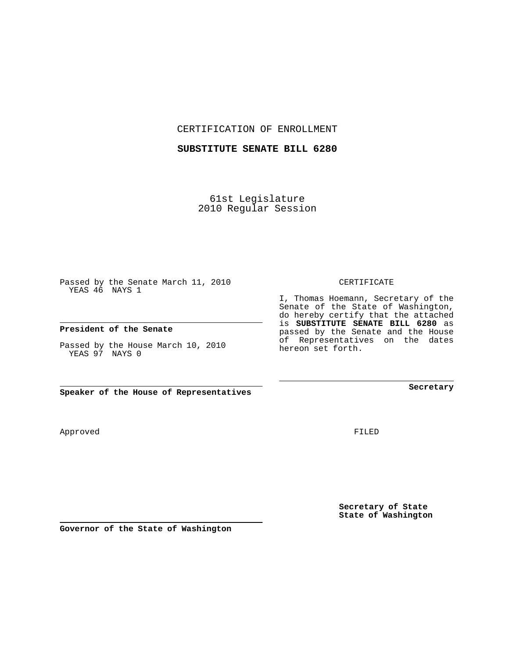CERTIFICATION OF ENROLLMENT

## **SUBSTITUTE SENATE BILL 6280**

61st Legislature 2010 Regular Session

Passed by the Senate March 11, 2010 YEAS 46 NAYS 1

## **President of the Senate**

Passed by the House March 10, 2010 YEAS 97 NAYS 0

**Speaker of the House of Representatives**

Approved

FILED

**Secretary of State State of Washington**

**Secretary**

CERTIFICATE

I, Thomas Hoemann, Secretary of the Senate of the State of Washington, do hereby certify that the attached is **SUBSTITUTE SENATE BILL 6280** as passed by the Senate and the House of Representatives on the dates hereon set forth.

**Governor of the State of Washington**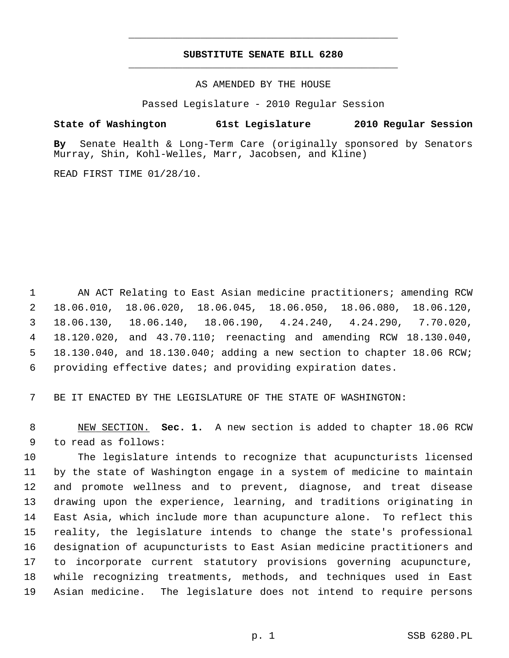## **SUBSTITUTE SENATE BILL 6280** \_\_\_\_\_\_\_\_\_\_\_\_\_\_\_\_\_\_\_\_\_\_\_\_\_\_\_\_\_\_\_\_\_\_\_\_\_\_\_\_\_\_\_\_\_

\_\_\_\_\_\_\_\_\_\_\_\_\_\_\_\_\_\_\_\_\_\_\_\_\_\_\_\_\_\_\_\_\_\_\_\_\_\_\_\_\_\_\_\_\_

AS AMENDED BY THE HOUSE

Passed Legislature - 2010 Regular Session

## **State of Washington 61st Legislature 2010 Regular Session**

**By** Senate Health & Long-Term Care (originally sponsored by Senators Murray, Shin, Kohl-Welles, Marr, Jacobsen, and Kline)

READ FIRST TIME 01/28/10.

 1 AN ACT Relating to East Asian medicine practitioners; amending RCW 2 18.06.010, 18.06.020, 18.06.045, 18.06.050, 18.06.080, 18.06.120, 3 18.06.130, 18.06.140, 18.06.190, 4.24.240, 4.24.290, 7.70.020, 4 18.120.020, and 43.70.110; reenacting and amending RCW 18.130.040, 5 18.130.040, and 18.130.040; adding a new section to chapter 18.06 RCW; 6 providing effective dates; and providing expiration dates.

7 BE IT ENACTED BY THE LEGISLATURE OF THE STATE OF WASHINGTON:

 8 NEW SECTION. **Sec. 1.** A new section is added to chapter 18.06 RCW 9 to read as follows:

10 The legislature intends to recognize that acupuncturists licensed 11 by the state of Washington engage in a system of medicine to maintain 12 and promote wellness and to prevent, diagnose, and treat disease 13 drawing upon the experience, learning, and traditions originating in 14 East Asia, which include more than acupuncture alone. To reflect this 15 reality, the legislature intends to change the state's professional 16 designation of acupuncturists to East Asian medicine practitioners and 17 to incorporate current statutory provisions governing acupuncture, 18 while recognizing treatments, methods, and techniques used in East 19 Asian medicine. The legislature does not intend to require persons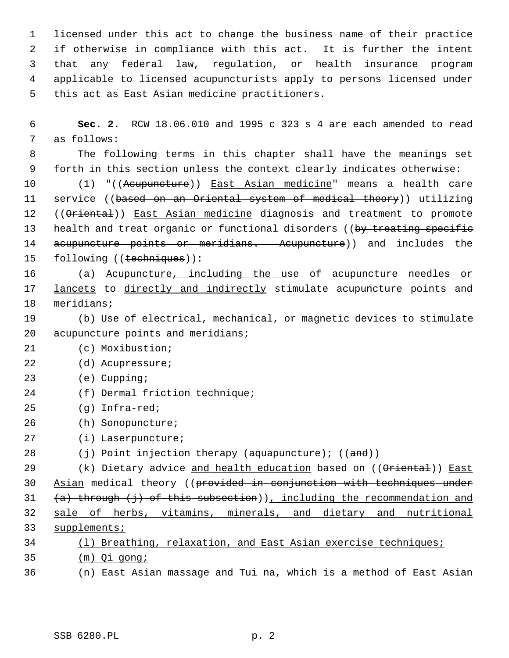1 licensed under this act to change the business name of their practice 2 if otherwise in compliance with this act. It is further the intent 3 that any federal law, regulation, or health insurance program 4 applicable to licensed acupuncturists apply to persons licensed under 5 this act as East Asian medicine practitioners.

 6 **Sec. 2.** RCW 18.06.010 and 1995 c 323 s 4 are each amended to read 7 as follows:

 8 The following terms in this chapter shall have the meanings set 9 forth in this section unless the context clearly indicates otherwise:

10 (1) "((Acupuncture)) East Asian medicine" means a health care 11 service ((based on an Oriental system of medical theory)) utilizing 12 ((Oriental)) East Asian medicine diagnosis and treatment to promote 13 health and treat organic or functional disorders ((by treating specific 14 acupuncture points or meridians. Acupuncture)) and includes the 15 following ((techniques)):

16 (a) Acupuncture, including the use of acupuncture needles or 17 lancets to directly and indirectly stimulate acupuncture points and 18 meridians;

- 19 (b) Use of electrical, mechanical, or magnetic devices to stimulate 20 acupuncture points and meridians;
- 21 (c) Moxibustion;
- 22 (d) Acupressure;
- 23 (e) Cupping;
- 24 (f) Dermal friction technique;
- 25 (g) Infra-red;
- 26 (h) Sonopuncture;
- 27 (i) Laserpuncture;
- 28 (i) Point injection therapy (aquapuncture);  $((and))$

29 (k) Dietary advice and health education based on ((Oriental)) East Asian medical theory ((provided in conjunction with techniques under  $(a)$  through (j) of this subsection)), including the recommendation and sale of herbs, vitamins, minerals, and dietary and nutritional supplements; (l) Breathing, relaxation, and East Asian exercise techniques;

- 35 (m) Qi gong;
- 36 (n) East Asian massage and Tui na, which is a method of East Asian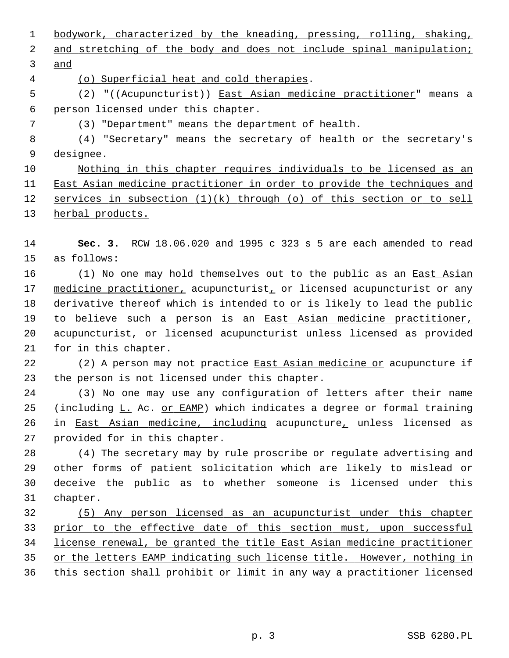1 bodywork, characterized by the kneading, pressing, rolling, shaking, 2 and stretching of the body and does not include spinal manipulation; 3 and 4 (o) Superficial heat and cold therapies. 5 (2) "((Acupuncturist)) East Asian medicine practitioner" means a 6 person licensed under this chapter.

7 (3) "Department" means the department of health.

 8 (4) "Secretary" means the secretary of health or the secretary's 9 designee.

 Nothing in this chapter requires individuals to be licensed as an East Asian medicine practitioner in order to provide the techniques and services in subsection (1)(k) through (o) of this section or to sell herbal products.

14 **Sec. 3.** RCW 18.06.020 and 1995 c 323 s 5 are each amended to read 15 as follows:

16 (1) No one may hold themselves out to the public as an East Asian 17 medicine practitioner, acupuncturist, or licensed acupuncturist or any 18 derivative thereof which is intended to or is likely to lead the public 19 to believe such a person is an East Asian medicine practitioner, 20 acupuncturist, or licensed acupuncturist unless licensed as provided 21 for in this chapter.

22 (2) A person may not practice East Asian medicine or acupuncture if 23 the person is not licensed under this chapter.

24 (3) No one may use any configuration of letters after their name 25 (including L. Ac. or EAMP) which indicates a degree or formal training 26 in East Asian medicine, including acupuncture, unless licensed as 27 provided for in this chapter.

28 (4) The secretary may by rule proscribe or regulate advertising and 29 other forms of patient solicitation which are likely to mislead or 30 deceive the public as to whether someone is licensed under this 31 chapter.

 (5) Any person licensed as an acupuncturist under this chapter prior to the effective date of this section must, upon successful license renewal, be granted the title East Asian medicine practitioner or the letters EAMP indicating such license title. However, nothing in this section shall prohibit or limit in any way a practitioner licensed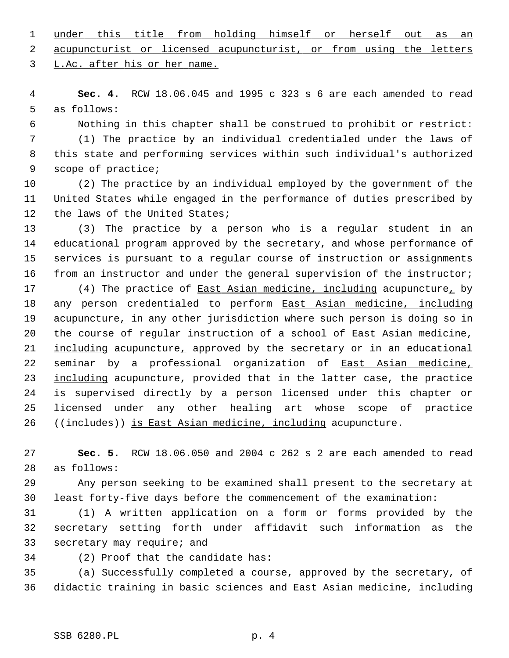1 under this title from holding himself or herself out as an 2 acupuncturist or licensed acupuncturist, or from using the letters 3 L.Ac. after his or her name.

 4 **Sec. 4.** RCW 18.06.045 and 1995 c 323 s 6 are each amended to read 5 as follows:

 6 Nothing in this chapter shall be construed to prohibit or restrict: 7 (1) The practice by an individual credentialed under the laws of 8 this state and performing services within such individual's authorized 9 scope of practice;

10 (2) The practice by an individual employed by the government of the 11 United States while engaged in the performance of duties prescribed by 12 the laws of the United States;

13 (3) The practice by a person who is a regular student in an 14 educational program approved by the secretary, and whose performance of 15 services is pursuant to a regular course of instruction or assignments 16 from an instructor and under the general supervision of the instructor;

17 (4) The practice of East Asian medicine, including acupuncture, by 18 any person credentialed to perform East Asian medicine, including 19 acupuncture, in any other jurisdiction where such person is doing so in 20 the course of regular instruction of a school of East Asian medicine, 21 including acupuncture, approved by the secretary or in an educational 22 seminar by a professional organization of East Asian medicine, 23 including acupuncture, provided that in the latter case, the practice 24 is supervised directly by a person licensed under this chapter or 25 licensed under any other healing art whose scope of practice 26 ((includes)) is East Asian medicine, including acupuncture.

27 **Sec. 5.** RCW 18.06.050 and 2004 c 262 s 2 are each amended to read 28 as follows:

29 Any person seeking to be examined shall present to the secretary at 30 least forty-five days before the commencement of the examination:

31 (1) A written application on a form or forms provided by the 32 secretary setting forth under affidavit such information as the 33 secretary may require; and

34 (2) Proof that the candidate has:

35 (a) Successfully completed a course, approved by the secretary, of 36 didactic training in basic sciences and East Asian medicine, including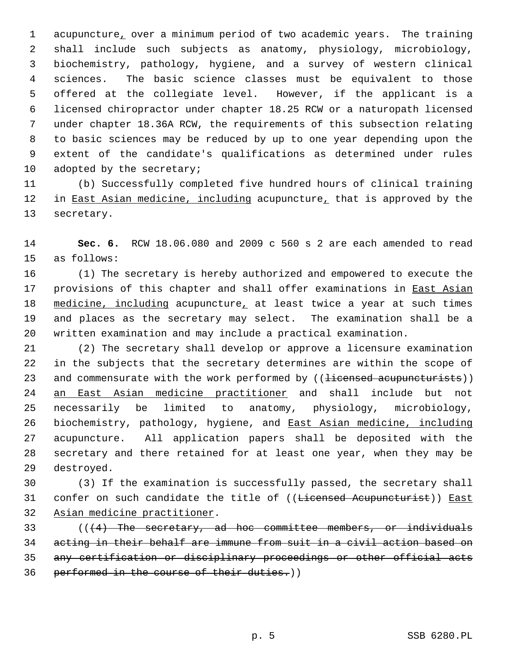1 acupuncture, over a minimum period of two academic years. The training 2 shall include such subjects as anatomy, physiology, microbiology, 3 biochemistry, pathology, hygiene, and a survey of western clinical 4 sciences. The basic science classes must be equivalent to those 5 offered at the collegiate level. However, if the applicant is a 6 licensed chiropractor under chapter 18.25 RCW or a naturopath licensed 7 under chapter 18.36A RCW, the requirements of this subsection relating 8 to basic sciences may be reduced by up to one year depending upon the 9 extent of the candidate's qualifications as determined under rules 10 adopted by the secretary;

11 (b) Successfully completed five hundred hours of clinical training 12 in East Asian medicine, including acupuncture, that is approved by the 13 secretary.

14 **Sec. 6.** RCW 18.06.080 and 2009 c 560 s 2 are each amended to read 15 as follows:

16 (1) The secretary is hereby authorized and empowered to execute the 17 provisions of this chapter and shall offer examinations in East Asian 18 medicine, including acupuncture, at least twice a year at such times 19 and places as the secretary may select. The examination shall be a 20 written examination and may include a practical examination.

21 (2) The secretary shall develop or approve a licensure examination 22 in the subjects that the secretary determines are within the scope of 23 and commensurate with the work performed by ((<del>licensed acupuncturists</del>)) 24 an East Asian medicine practitioner and shall include but not 25 necessarily be limited to anatomy, physiology, microbiology, 26 biochemistry, pathology, hygiene, and East Asian medicine, including 27 acupuncture. All application papers shall be deposited with the 28 secretary and there retained for at least one year, when they may be 29 destroyed.

30 (3) If the examination is successfully passed, the secretary shall 31 confer on such candidate the title of ((<del>Licensed Acupuncturist</del>)) East 32 Asian medicine practitioner.

 (( $(4)$  The secretary, ad hoc committee members, or individuals acting in their behalf are immune from suit in a civil action based on any certification or disciplinary proceedings or other official acts 36 performed in the course of their duties.))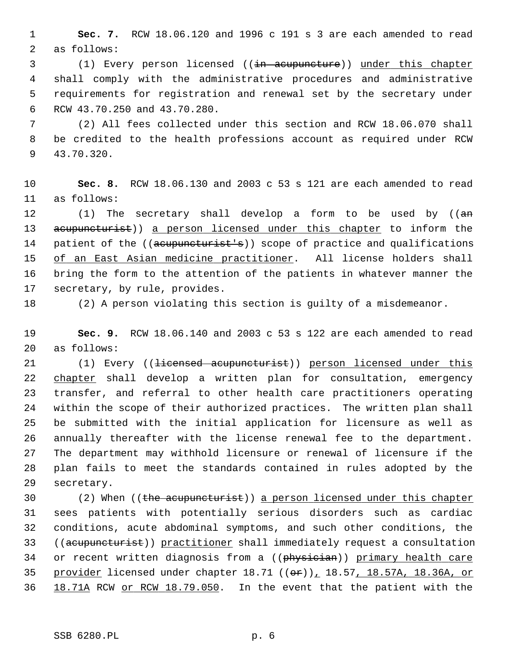1 **Sec. 7.** RCW 18.06.120 and 1996 c 191 s 3 are each amended to read 2 as follows:

3 (1) Every person licensed ((in acupuncture)) under this chapter 4 shall comply with the administrative procedures and administrative 5 requirements for registration and renewal set by the secretary under 6 RCW 43.70.250 and 43.70.280.

 7 (2) All fees collected under this section and RCW 18.06.070 shall 8 be credited to the health professions account as required under RCW 9 43.70.320.

10 **Sec. 8.** RCW 18.06.130 and 2003 c 53 s 121 are each amended to read 11 as follows:

12  $(1)$  The secretary shall develop a form to be used by  $((a+n)^2)(a+2)$ 13 acupuncturist)) a person licensed under this chapter to inform the 14 patient of the ((acupuncturist's)) scope of practice and qualifications 15 of an East Asian medicine practitioner. All license holders shall 16 bring the form to the attention of the patients in whatever manner the 17 secretary, by rule, provides.

18 (2) A person violating this section is guilty of a misdemeanor.

19 **Sec. 9.** RCW 18.06.140 and 2003 c 53 s 122 are each amended to read 20 as follows:

21 (1) Every ((<del>licensed acupuncturist</del>)) person licensed under this 22 chapter shall develop a written plan for consultation, emergency 23 transfer, and referral to other health care practitioners operating 24 within the scope of their authorized practices. The written plan shall 25 be submitted with the initial application for licensure as well as 26 annually thereafter with the license renewal fee to the department. 27 The department may withhold licensure or renewal of licensure if the 28 plan fails to meet the standards contained in rules adopted by the 29 secretary.

30 (2) When ((the acupuncturist)) a person licensed under this chapter 31 sees patients with potentially serious disorders such as cardiac 32 conditions, acute abdominal symptoms, and such other conditions, the 33 ((acupuncturist)) practitioner shall immediately request a consultation 34 or recent written diagnosis from a ((physician)) primary health care 35 provider licensed under chapter  $18.71$  (( $\theta$ r)),  $18.57$ ,  $18.57A$ ,  $18.36A$ , or 36 18.71A RCW or RCW 18.79.050. In the event that the patient with the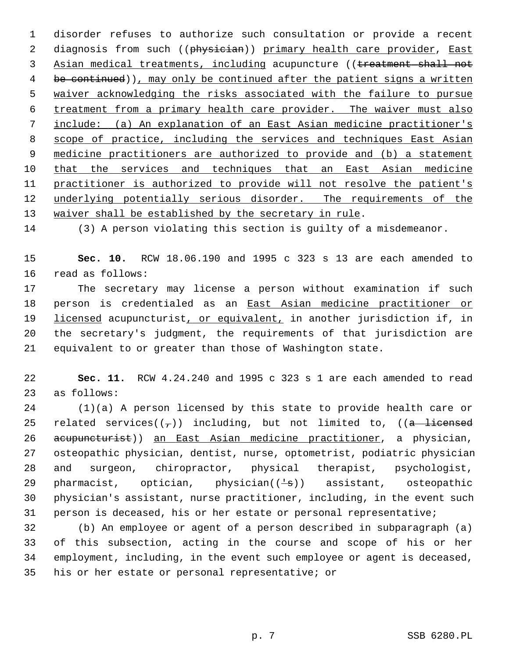1 disorder refuses to authorize such consultation or provide a recent 2 diagnosis from such ((physician)) primary health care provider, East Asian medical treatments, including acupuncture ((treatment shall not 4 be continued)), may only be continued after the patient signs a written waiver acknowledging the risks associated with the failure to pursue treatment from a primary health care provider. The waiver must also include: (a) An explanation of an East Asian medicine practitioner's scope of practice, including the services and techniques East Asian medicine practitioners are authorized to provide and (b) a statement that the services and techniques that an East Asian medicine practitioner is authorized to provide will not resolve the patient's underlying potentially serious disorder. The requirements of the waiver shall be established by the secretary in rule.

14 (3) A person violating this section is guilty of a misdemeanor.

15 **Sec. 10.** RCW 18.06.190 and 1995 c 323 s 13 are each amended to 16 read as follows:

17 The secretary may license a person without examination if such 18 person is credentialed as an East Asian medicine practitioner or 19 licensed acupuncturist, or equivalent, in another jurisdiction if, in 20 the secretary's judgment, the requirements of that jurisdiction are 21 equivalent to or greater than those of Washington state.

22 **Sec. 11.** RCW 4.24.240 and 1995 c 323 s 1 are each amended to read 23 as follows:

24 (1)(a) A person licensed by this state to provide health care or 25 related services( $(\tau)$ ) including, but not limited to, ((a licensed 26 acupuncturist)) an East Asian medicine practitioner, a physician, 27 osteopathic physician, dentist, nurse, optometrist, podiatric physician 28 and surgeon, chiropractor, physical therapist, psychologist, 29 pharmacist, optician, physician $(\frac{1}{s})$  assistant, osteopathic 30 physician's assistant, nurse practitioner, including, in the event such 31 person is deceased, his or her estate or personal representative;

32 (b) An employee or agent of a person described in subparagraph (a) 33 of this subsection, acting in the course and scope of his or her 34 employment, including, in the event such employee or agent is deceased, 35 his or her estate or personal representative; or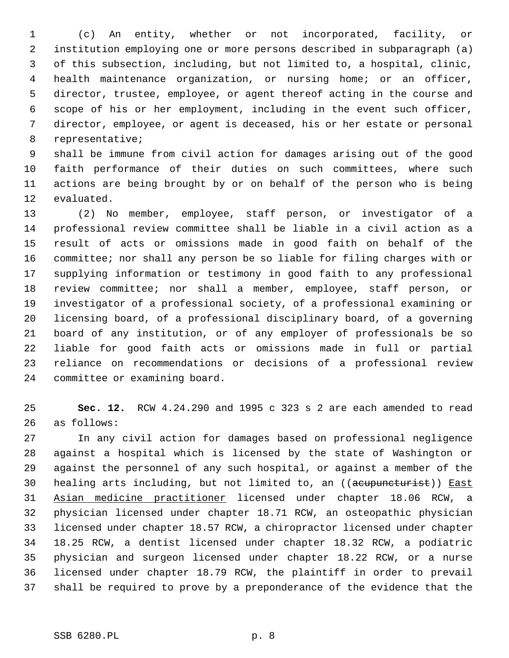1 (c) An entity, whether or not incorporated, facility, or 2 institution employing one or more persons described in subparagraph (a) 3 of this subsection, including, but not limited to, a hospital, clinic, 4 health maintenance organization, or nursing home; or an officer, 5 director, trustee, employee, or agent thereof acting in the course and 6 scope of his or her employment, including in the event such officer, 7 director, employee, or agent is deceased, his or her estate or personal 8 representative;

 9 shall be immune from civil action for damages arising out of the good 10 faith performance of their duties on such committees, where such 11 actions are being brought by or on behalf of the person who is being 12 evaluated.

13 (2) No member, employee, staff person, or investigator of a 14 professional review committee shall be liable in a civil action as a 15 result of acts or omissions made in good faith on behalf of the 16 committee; nor shall any person be so liable for filing charges with or 17 supplying information or testimony in good faith to any professional 18 review committee; nor shall a member, employee, staff person, or 19 investigator of a professional society, of a professional examining or 20 licensing board, of a professional disciplinary board, of a governing 21 board of any institution, or of any employer of professionals be so 22 liable for good faith acts or omissions made in full or partial 23 reliance on recommendations or decisions of a professional review 24 committee or examining board.

25 **Sec. 12.** RCW 4.24.290 and 1995 c 323 s 2 are each amended to read 26 as follows:

27 In any civil action for damages based on professional negligence 28 against a hospital which is licensed by the state of Washington or 29 against the personnel of any such hospital, or against a member of the 30 healing arts including, but not limited to, an ((acupuncturist)) East 31 Asian medicine practitioner licensed under chapter 18.06 RCW, a 32 physician licensed under chapter 18.71 RCW, an osteopathic physician 33 licensed under chapter 18.57 RCW, a chiropractor licensed under chapter 34 18.25 RCW, a dentist licensed under chapter 18.32 RCW, a podiatric 35 physician and surgeon licensed under chapter 18.22 RCW, or a nurse 36 licensed under chapter 18.79 RCW, the plaintiff in order to prevail 37 shall be required to prove by a preponderance of the evidence that the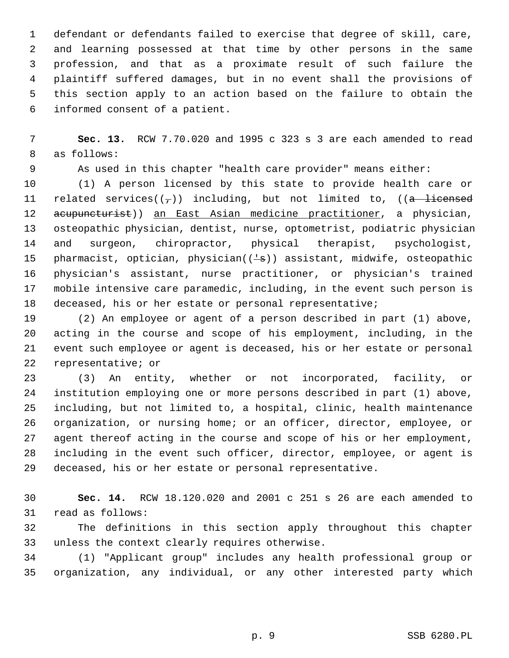1 defendant or defendants failed to exercise that degree of skill, care, 2 and learning possessed at that time by other persons in the same 3 profession, and that as a proximate result of such failure the 4 plaintiff suffered damages, but in no event shall the provisions of 5 this section apply to an action based on the failure to obtain the 6 informed consent of a patient.

 7 **Sec. 13.** RCW 7.70.020 and 1995 c 323 s 3 are each amended to read 8 as follows:

9 As used in this chapter "health care provider" means either:

10 (1) A person licensed by this state to provide health care or 11 related services( $(\tau)$ ) including, but not limited to, (( $\alpha$  licensed 12 acupuncturist)) an East Asian medicine practitioner, a physician, 13 osteopathic physician, dentist, nurse, optometrist, podiatric physician 14 and surgeon, chiropractor, physical therapist, psychologist, 15 pharmacist, optician, physician( $(\frac{1}{s})$ ) assistant, midwife, osteopathic 16 physician's assistant, nurse practitioner, or physician's trained 17 mobile intensive care paramedic, including, in the event such person is 18 deceased, his or her estate or personal representative;

19 (2) An employee or agent of a person described in part (1) above, 20 acting in the course and scope of his employment, including, in the 21 event such employee or agent is deceased, his or her estate or personal 22 representative; or

23 (3) An entity, whether or not incorporated, facility, or 24 institution employing one or more persons described in part (1) above, 25 including, but not limited to, a hospital, clinic, health maintenance 26 organization, or nursing home; or an officer, director, employee, or 27 agent thereof acting in the course and scope of his or her employment, 28 including in the event such officer, director, employee, or agent is 29 deceased, his or her estate or personal representative.

30 **Sec. 14.** RCW 18.120.020 and 2001 c 251 s 26 are each amended to 31 read as follows:

32 The definitions in this section apply throughout this chapter 33 unless the context clearly requires otherwise.

34 (1) "Applicant group" includes any health professional group or 35 organization, any individual, or any other interested party which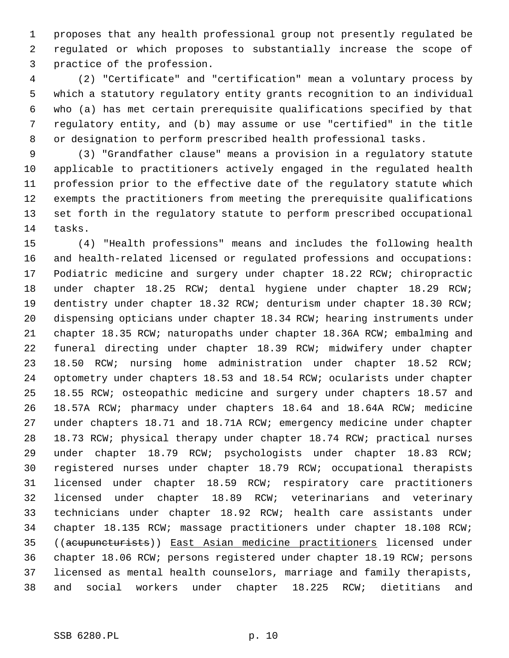1 proposes that any health professional group not presently regulated be 2 regulated or which proposes to substantially increase the scope of 3 practice of the profession.

 4 (2) "Certificate" and "certification" mean a voluntary process by 5 which a statutory regulatory entity grants recognition to an individual 6 who (a) has met certain prerequisite qualifications specified by that 7 regulatory entity, and (b) may assume or use "certified" in the title 8 or designation to perform prescribed health professional tasks.

 9 (3) "Grandfather clause" means a provision in a regulatory statute 10 applicable to practitioners actively engaged in the regulated health 11 profession prior to the effective date of the regulatory statute which 12 exempts the practitioners from meeting the prerequisite qualifications 13 set forth in the regulatory statute to perform prescribed occupational 14 tasks.

15 (4) "Health professions" means and includes the following health 16 and health-related licensed or regulated professions and occupations: 17 Podiatric medicine and surgery under chapter 18.22 RCW; chiropractic 18 under chapter 18.25 RCW; dental hygiene under chapter 18.29 RCW; 19 dentistry under chapter 18.32 RCW; denturism under chapter 18.30 RCW; 20 dispensing opticians under chapter 18.34 RCW; hearing instruments under 21 chapter 18.35 RCW; naturopaths under chapter 18.36A RCW; embalming and 22 funeral directing under chapter 18.39 RCW; midwifery under chapter 23 18.50 RCW; nursing home administration under chapter 18.52 RCW; 24 optometry under chapters 18.53 and 18.54 RCW; ocularists under chapter 25 18.55 RCW; osteopathic medicine and surgery under chapters 18.57 and 26 18.57A RCW; pharmacy under chapters 18.64 and 18.64A RCW; medicine 27 under chapters 18.71 and 18.71A RCW; emergency medicine under chapter 28 18.73 RCW; physical therapy under chapter 18.74 RCW; practical nurses 29 under chapter 18.79 RCW; psychologists under chapter 18.83 RCW; 30 registered nurses under chapter 18.79 RCW; occupational therapists 31 licensed under chapter 18.59 RCW; respiratory care practitioners 32 licensed under chapter 18.89 RCW; veterinarians and veterinary 33 technicians under chapter 18.92 RCW; health care assistants under 34 chapter 18.135 RCW; massage practitioners under chapter 18.108 RCW; 35 ((acupuncturists)) East Asian medicine practitioners licensed under 36 chapter 18.06 RCW; persons registered under chapter 18.19 RCW; persons 37 licensed as mental health counselors, marriage and family therapists, 38 and social workers under chapter 18.225 RCW; dietitians and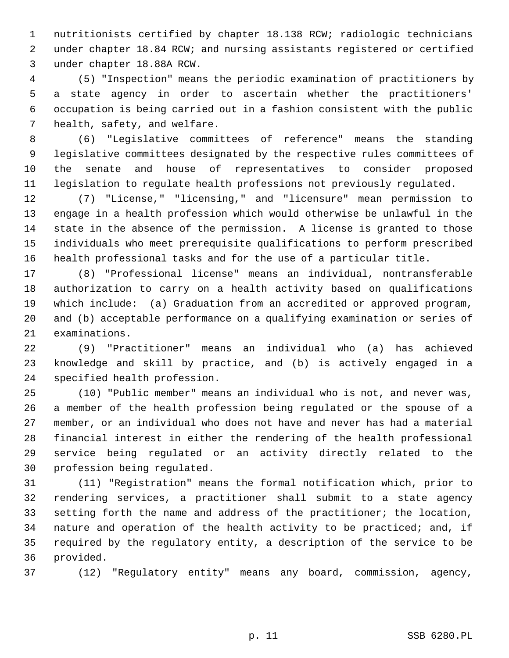1 nutritionists certified by chapter 18.138 RCW; radiologic technicians 2 under chapter 18.84 RCW; and nursing assistants registered or certified 3 under chapter 18.88A RCW.

 4 (5) "Inspection" means the periodic examination of practitioners by 5 a state agency in order to ascertain whether the practitioners' 6 occupation is being carried out in a fashion consistent with the public 7 health, safety, and welfare.

 8 (6) "Legislative committees of reference" means the standing 9 legislative committees designated by the respective rules committees of 10 the senate and house of representatives to consider proposed 11 legislation to regulate health professions not previously regulated.

12 (7) "License," "licensing," and "licensure" mean permission to 13 engage in a health profession which would otherwise be unlawful in the 14 state in the absence of the permission. A license is granted to those 15 individuals who meet prerequisite qualifications to perform prescribed 16 health professional tasks and for the use of a particular title.

17 (8) "Professional license" means an individual, nontransferable 18 authorization to carry on a health activity based on qualifications 19 which include: (a) Graduation from an accredited or approved program, 20 and (b) acceptable performance on a qualifying examination or series of 21 examinations.

22 (9) "Practitioner" means an individual who (a) has achieved 23 knowledge and skill by practice, and (b) is actively engaged in a 24 specified health profession.

25 (10) "Public member" means an individual who is not, and never was, 26 a member of the health profession being regulated or the spouse of a 27 member, or an individual who does not have and never has had a material 28 financial interest in either the rendering of the health professional 29 service being regulated or an activity directly related to the 30 profession being regulated.

31 (11) "Registration" means the formal notification which, prior to 32 rendering services, a practitioner shall submit to a state agency 33 setting forth the name and address of the practitioner; the location, 34 nature and operation of the health activity to be practiced; and, if 35 required by the regulatory entity, a description of the service to be 36 provided.

37 (12) "Regulatory entity" means any board, commission, agency,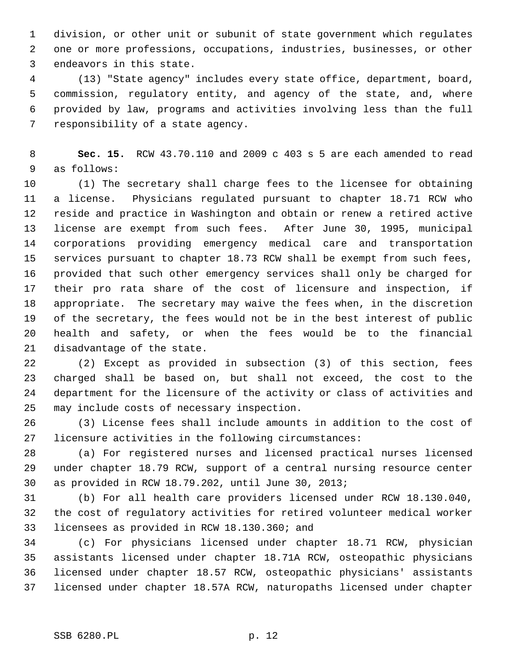1 division, or other unit or subunit of state government which regulates 2 one or more professions, occupations, industries, businesses, or other 3 endeavors in this state.

 4 (13) "State agency" includes every state office, department, board, 5 commission, regulatory entity, and agency of the state, and, where 6 provided by law, programs and activities involving less than the full 7 responsibility of a state agency.

 8 **Sec. 15.** RCW 43.70.110 and 2009 c 403 s 5 are each amended to read 9 as follows:

10 (1) The secretary shall charge fees to the licensee for obtaining 11 a license. Physicians regulated pursuant to chapter 18.71 RCW who 12 reside and practice in Washington and obtain or renew a retired active 13 license are exempt from such fees. After June 30, 1995, municipal 14 corporations providing emergency medical care and transportation 15 services pursuant to chapter 18.73 RCW shall be exempt from such fees, 16 provided that such other emergency services shall only be charged for 17 their pro rata share of the cost of licensure and inspection, if 18 appropriate. The secretary may waive the fees when, in the discretion 19 of the secretary, the fees would not be in the best interest of public 20 health and safety, or when the fees would be to the financial 21 disadvantage of the state.

22 (2) Except as provided in subsection (3) of this section, fees 23 charged shall be based on, but shall not exceed, the cost to the 24 department for the licensure of the activity or class of activities and 25 may include costs of necessary inspection.

26 (3) License fees shall include amounts in addition to the cost of 27 licensure activities in the following circumstances:

28 (a) For registered nurses and licensed practical nurses licensed 29 under chapter 18.79 RCW, support of a central nursing resource center 30 as provided in RCW 18.79.202, until June 30, 2013;

31 (b) For all health care providers licensed under RCW 18.130.040, 32 the cost of regulatory activities for retired volunteer medical worker 33 licensees as provided in RCW 18.130.360; and

34 (c) For physicians licensed under chapter 18.71 RCW, physician 35 assistants licensed under chapter 18.71A RCW, osteopathic physicians 36 licensed under chapter 18.57 RCW, osteopathic physicians' assistants 37 licensed under chapter 18.57A RCW, naturopaths licensed under chapter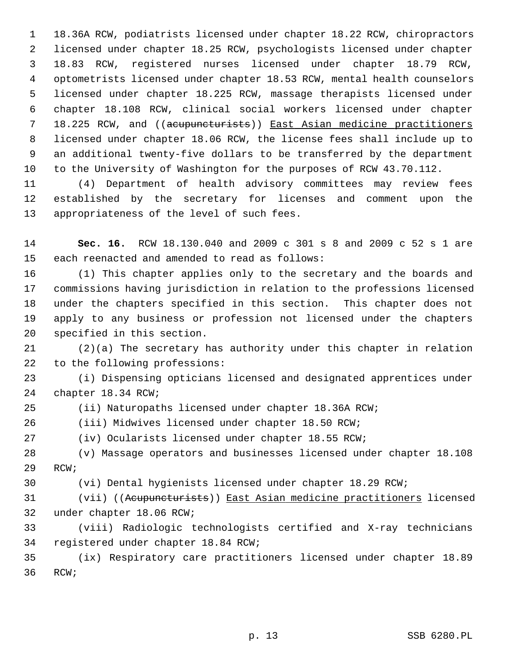1 18.36A RCW, podiatrists licensed under chapter 18.22 RCW, chiropractors 2 licensed under chapter 18.25 RCW, psychologists licensed under chapter 3 18.83 RCW, registered nurses licensed under chapter 18.79 RCW, 4 optometrists licensed under chapter 18.53 RCW, mental health counselors 5 licensed under chapter 18.225 RCW, massage therapists licensed under 6 chapter 18.108 RCW, clinical social workers licensed under chapter 7 18.225 RCW, and ((acupuncturists)) East Asian medicine practitioners 8 licensed under chapter 18.06 RCW, the license fees shall include up to 9 an additional twenty-five dollars to be transferred by the department 10 to the University of Washington for the purposes of RCW 43.70.112.

11 (4) Department of health advisory committees may review fees 12 established by the secretary for licenses and comment upon the 13 appropriateness of the level of such fees.

14 **Sec. 16.** RCW 18.130.040 and 2009 c 301 s 8 and 2009 c 52 s 1 are 15 each reenacted and amended to read as follows:

16 (1) This chapter applies only to the secretary and the boards and 17 commissions having jurisdiction in relation to the professions licensed 18 under the chapters specified in this section. This chapter does not 19 apply to any business or profession not licensed under the chapters 20 specified in this section.

21 (2)(a) The secretary has authority under this chapter in relation 22 to the following professions:

23 (i) Dispensing opticians licensed and designated apprentices under 24 chapter 18.34 RCW;

25 (ii) Naturopaths licensed under chapter 18.36A RCW;

26 (iii) Midwives licensed under chapter 18.50 RCW;

27 (iv) Ocularists licensed under chapter 18.55 RCW;

28 (v) Massage operators and businesses licensed under chapter 18.108 29 RCW;

30 (vi) Dental hygienists licensed under chapter 18.29 RCW;

31 (vii) ((Acupuncturists)) East Asian medicine practitioners licensed 32 under chapter 18.06 RCW;

33 (viii) Radiologic technologists certified and X-ray technicians 34 registered under chapter 18.84 RCW;

35 (ix) Respiratory care practitioners licensed under chapter 18.89 36 RCW;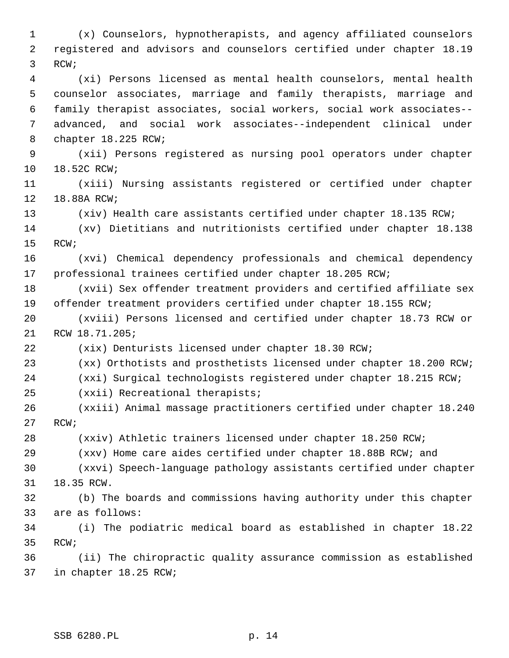1 (x) Counselors, hypnotherapists, and agency affiliated counselors 2 registered and advisors and counselors certified under chapter 18.19 3 RCW; 4 (xi) Persons licensed as mental health counselors, mental health 5 counselor associates, marriage and family therapists, marriage and 6 family therapist associates, social workers, social work associates-- 7 advanced, and social work associates--independent clinical under 8 chapter 18.225 RCW; 9 (xii) Persons registered as nursing pool operators under chapter 10 18.52C RCW; 11 (xiii) Nursing assistants registered or certified under chapter 12 18.88A RCW; 13 (xiv) Health care assistants certified under chapter 18.135 RCW; 14 (xv) Dietitians and nutritionists certified under chapter 18.138 15 RCW; 16 (xvi) Chemical dependency professionals and chemical dependency 17 professional trainees certified under chapter 18.205 RCW; 18 (xvii) Sex offender treatment providers and certified affiliate sex 19 offender treatment providers certified under chapter 18.155 RCW; 20 (xviii) Persons licensed and certified under chapter 18.73 RCW or 21 RCW 18.71.205; 22 (xix) Denturists licensed under chapter 18.30 RCW; 23 (xx) Orthotists and prosthetists licensed under chapter 18.200 RCW; 24 (xxi) Surgical technologists registered under chapter 18.215 RCW; 25 (xxii) Recreational therapists; 26 (xxiii) Animal massage practitioners certified under chapter 18.240 27 RCW; 28 (xxiv) Athletic trainers licensed under chapter 18.250 RCW; 29 (xxv) Home care aides certified under chapter 18.88B RCW; and 30 (xxvi) Speech-language pathology assistants certified under chapter 31 18.35 RCW. 32 (b) The boards and commissions having authority under this chapter 33 are as follows: 34 (i) The podiatric medical board as established in chapter 18.22 35 RCW; 36 (ii) The chiropractic quality assurance commission as established 37 in chapter 18.25 RCW;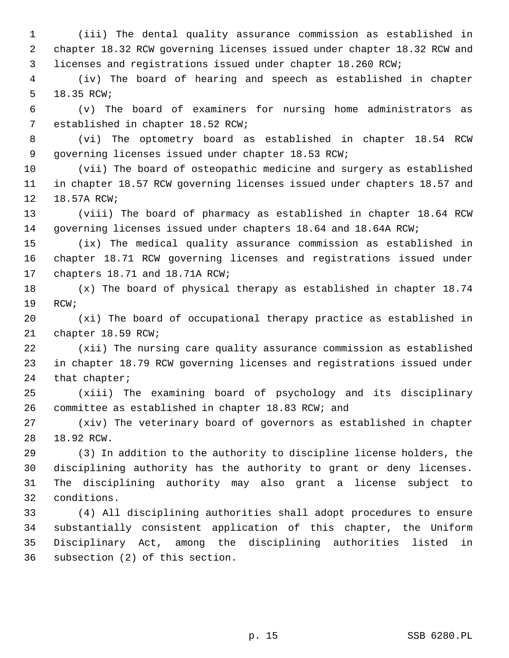1 (iii) The dental quality assurance commission as established in 2 chapter 18.32 RCW governing licenses issued under chapter 18.32 RCW and 3 licenses and registrations issued under chapter 18.260 RCW;

 4 (iv) The board of hearing and speech as established in chapter 5 18.35 RCW;

 6 (v) The board of examiners for nursing home administrators as 7 established in chapter 18.52 RCW;

 8 (vi) The optometry board as established in chapter 18.54 RCW 9 governing licenses issued under chapter 18.53 RCW;

10 (vii) The board of osteopathic medicine and surgery as established 11 in chapter 18.57 RCW governing licenses issued under chapters 18.57 and 12 18.57A RCW;

13 (viii) The board of pharmacy as established in chapter 18.64 RCW 14 governing licenses issued under chapters 18.64 and 18.64A RCW;

15 (ix) The medical quality assurance commission as established in 16 chapter 18.71 RCW governing licenses and registrations issued under 17 chapters 18.71 and 18.71A RCW;

18 (x) The board of physical therapy as established in chapter 18.74 19 RCW;

20 (xi) The board of occupational therapy practice as established in 21 chapter 18.59 RCW;

22 (xii) The nursing care quality assurance commission as established 23 in chapter 18.79 RCW governing licenses and registrations issued under 24 that chapter;

25 (xiii) The examining board of psychology and its disciplinary 26 committee as established in chapter 18.83 RCW; and

27 (xiv) The veterinary board of governors as established in chapter 28 18.92 RCW.

29 (3) In addition to the authority to discipline license holders, the 30 disciplining authority has the authority to grant or deny licenses. 31 The disciplining authority may also grant a license subject to 32 conditions.

33 (4) All disciplining authorities shall adopt procedures to ensure 34 substantially consistent application of this chapter, the Uniform 35 Disciplinary Act, among the disciplining authorities listed in 36 subsection (2) of this section.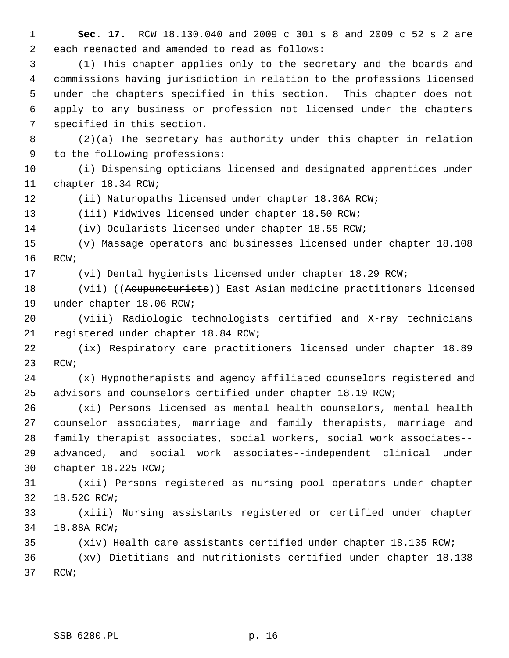1 **Sec. 17.** RCW 18.130.040 and 2009 c 301 s 8 and 2009 c 52 s 2 are 2 each reenacted and amended to read as follows:

 3 (1) This chapter applies only to the secretary and the boards and 4 commissions having jurisdiction in relation to the professions licensed 5 under the chapters specified in this section. This chapter does not 6 apply to any business or profession not licensed under the chapters 7 specified in this section.

 8 (2)(a) The secretary has authority under this chapter in relation 9 to the following professions:

10 (i) Dispensing opticians licensed and designated apprentices under 11 chapter 18.34 RCW;

12 (ii) Naturopaths licensed under chapter 18.36A RCW;

13 (iii) Midwives licensed under chapter 18.50 RCW;

14 (iv) Ocularists licensed under chapter 18.55 RCW;

15 (v) Massage operators and businesses licensed under chapter 18.108 16 RCW;

17 (vi) Dental hygienists licensed under chapter 18.29 RCW;

18 (vii) ((Acupuncturists)) East Asian medicine practitioners licensed 19 under chapter 18.06 RCW;

20 (viii) Radiologic technologists certified and X-ray technicians 21 registered under chapter 18.84 RCW;

22 (ix) Respiratory care practitioners licensed under chapter 18.89 23 RCW;

24 (x) Hypnotherapists and agency affiliated counselors registered and 25 advisors and counselors certified under chapter 18.19 RCW;

26 (xi) Persons licensed as mental health counselors, mental health 27 counselor associates, marriage and family therapists, marriage and 28 family therapist associates, social workers, social work associates-- 29 advanced, and social work associates--independent clinical under 30 chapter 18.225 RCW;

31 (xii) Persons registered as nursing pool operators under chapter 32 18.52C RCW;

33 (xiii) Nursing assistants registered or certified under chapter 34 18.88A RCW;

35 (xiv) Health care assistants certified under chapter 18.135 RCW;

36 (xv) Dietitians and nutritionists certified under chapter 18.138 37 RCW;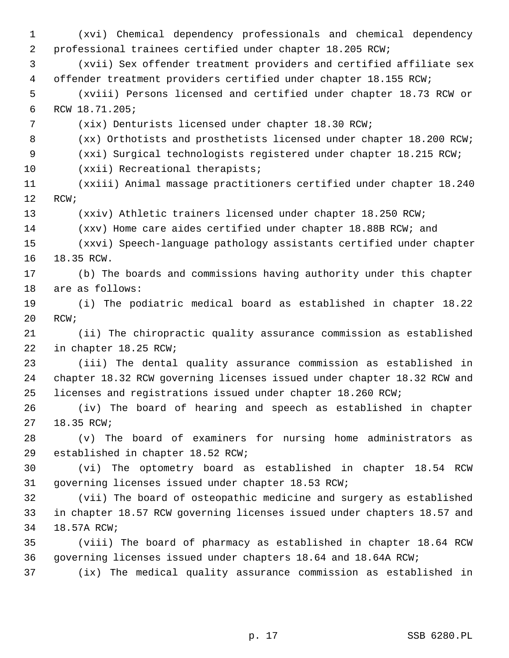1 (xvi) Chemical dependency professionals and chemical dependency 2 professional trainees certified under chapter 18.205 RCW; 3 (xvii) Sex offender treatment providers and certified affiliate sex 4 offender treatment providers certified under chapter 18.155 RCW; 5 (xviii) Persons licensed and certified under chapter 18.73 RCW or 6 RCW 18.71.205; 7 (xix) Denturists licensed under chapter 18.30 RCW; 8 (xx) Orthotists and prosthetists licensed under chapter 18.200 RCW; 9 (xxi) Surgical technologists registered under chapter 18.215 RCW; 10 (xxii) Recreational therapists; 11 (xxiii) Animal massage practitioners certified under chapter 18.240 12 RCW; 13 (xxiv) Athletic trainers licensed under chapter 18.250 RCW; 14 (xxv) Home care aides certified under chapter 18.88B RCW; and 15 (xxvi) Speech-language pathology assistants certified under chapter 16 18.35 RCW. 17 (b) The boards and commissions having authority under this chapter 18 are as follows: 19 (i) The podiatric medical board as established in chapter 18.22 20 RCW; 21 (ii) The chiropractic quality assurance commission as established 22 in chapter 18.25 RCW; 23 (iii) The dental quality assurance commission as established in 24 chapter 18.32 RCW governing licenses issued under chapter 18.32 RCW and 25 licenses and registrations issued under chapter 18.260 RCW; 26 (iv) The board of hearing and speech as established in chapter 27 18.35 RCW; 28 (v) The board of examiners for nursing home administrators as 29 established in chapter 18.52 RCW; 30 (vi) The optometry board as established in chapter 18.54 RCW 31 governing licenses issued under chapter 18.53 RCW; 32 (vii) The board of osteopathic medicine and surgery as established 33 in chapter 18.57 RCW governing licenses issued under chapters 18.57 and 34 18.57A RCW; 35 (viii) The board of pharmacy as established in chapter 18.64 RCW 36 governing licenses issued under chapters 18.64 and 18.64A RCW; 37 (ix) The medical quality assurance commission as established in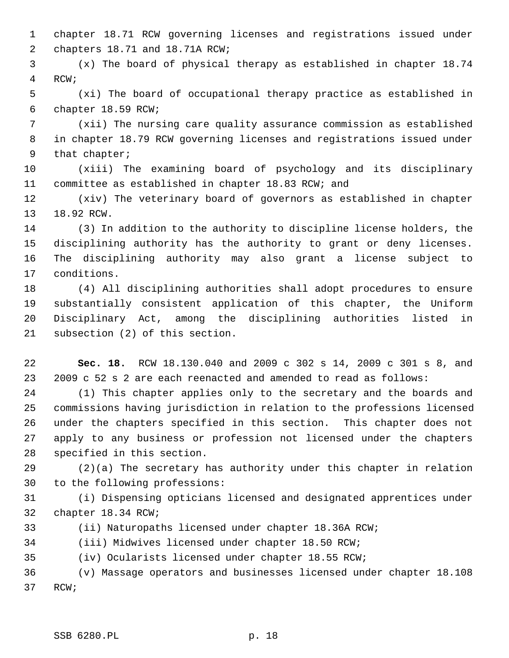1 chapter 18.71 RCW governing licenses and registrations issued under 2 chapters 18.71 and 18.71A RCW;

 3 (x) The board of physical therapy as established in chapter 18.74 4 RCW;

 5 (xi) The board of occupational therapy practice as established in 6 chapter 18.59 RCW;

 7 (xii) The nursing care quality assurance commission as established 8 in chapter 18.79 RCW governing licenses and registrations issued under 9 that chapter;

10 (xiii) The examining board of psychology and its disciplinary 11 committee as established in chapter 18.83 RCW; and

12 (xiv) The veterinary board of governors as established in chapter 13 18.92 RCW.

14 (3) In addition to the authority to discipline license holders, the 15 disciplining authority has the authority to grant or deny licenses. 16 The disciplining authority may also grant a license subject to 17 conditions.

18 (4) All disciplining authorities shall adopt procedures to ensure 19 substantially consistent application of this chapter, the Uniform 20 Disciplinary Act, among the disciplining authorities listed in 21 subsection (2) of this section.

22 **Sec. 18.** RCW 18.130.040 and 2009 c 302 s 14, 2009 c 301 s 8, and 23 2009 c 52 s 2 are each reenacted and amended to read as follows:

24 (1) This chapter applies only to the secretary and the boards and 25 commissions having jurisdiction in relation to the professions licensed 26 under the chapters specified in this section. This chapter does not 27 apply to any business or profession not licensed under the chapters 28 specified in this section.

29 (2)(a) The secretary has authority under this chapter in relation 30 to the following professions:

31 (i) Dispensing opticians licensed and designated apprentices under 32 chapter 18.34 RCW;

33 (ii) Naturopaths licensed under chapter 18.36A RCW;

34 (iii) Midwives licensed under chapter 18.50 RCW;

35 (iv) Ocularists licensed under chapter 18.55 RCW;

36 (v) Massage operators and businesses licensed under chapter 18.108 37 RCW;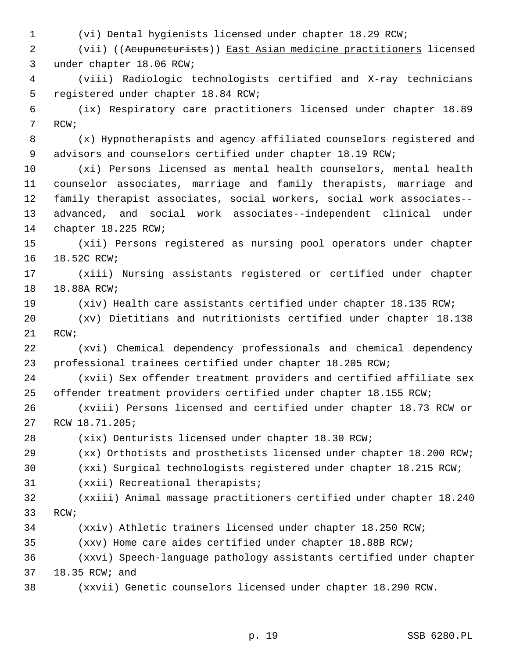1 (vi) Dental hygienists licensed under chapter 18.29 RCW;

 2 (vii) ((Acupuncturists)) East Asian medicine practitioners licensed 3 under chapter 18.06 RCW;

 4 (viii) Radiologic technologists certified and X-ray technicians 5 registered under chapter 18.84 RCW;

 6 (ix) Respiratory care practitioners licensed under chapter 18.89 7 RCW;

 8 (x) Hypnotherapists and agency affiliated counselors registered and 9 advisors and counselors certified under chapter 18.19 RCW;

10 (xi) Persons licensed as mental health counselors, mental health 11 counselor associates, marriage and family therapists, marriage and 12 family therapist associates, social workers, social work associates-- 13 advanced, and social work associates--independent clinical under 14 chapter 18.225 RCW;

15 (xii) Persons registered as nursing pool operators under chapter 16 18.52C RCW;

17 (xiii) Nursing assistants registered or certified under chapter 18 18.88A RCW;

19 (xiv) Health care assistants certified under chapter 18.135 RCW;

20 (xv) Dietitians and nutritionists certified under chapter 18.138 21 RCW;

22 (xvi) Chemical dependency professionals and chemical dependency 23 professional trainees certified under chapter 18.205 RCW;

24 (xvii) Sex offender treatment providers and certified affiliate sex 25 offender treatment providers certified under chapter 18.155 RCW;

26 (xviii) Persons licensed and certified under chapter 18.73 RCW or 27 RCW 18.71.205;

28 (xix) Denturists licensed under chapter 18.30 RCW;

29 (xx) Orthotists and prosthetists licensed under chapter 18.200 RCW;

30 (xxi) Surgical technologists registered under chapter 18.215 RCW;

31 (xxii) Recreational therapists;

32 (xxiii) Animal massage practitioners certified under chapter 18.240 33 RCW;

34 (xxiv) Athletic trainers licensed under chapter 18.250 RCW;

35 (xxv) Home care aides certified under chapter 18.88B RCW;

36 (xxvi) Speech-language pathology assistants certified under chapter 37 18.35 RCW; and

38 (xxvii) Genetic counselors licensed under chapter 18.290 RCW.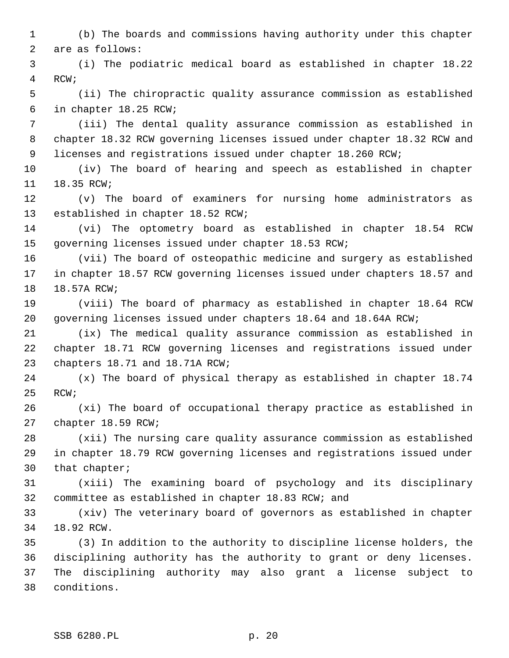1 (b) The boards and commissions having authority under this chapter 2 are as follows:

 3 (i) The podiatric medical board as established in chapter 18.22 4 RCW;

 5 (ii) The chiropractic quality assurance commission as established 6 in chapter 18.25 RCW;

 7 (iii) The dental quality assurance commission as established in 8 chapter 18.32 RCW governing licenses issued under chapter 18.32 RCW and 9 licenses and registrations issued under chapter 18.260 RCW;

10 (iv) The board of hearing and speech as established in chapter 11 18.35 RCW;

12 (v) The board of examiners for nursing home administrators as 13 established in chapter 18.52 RCW;

14 (vi) The optometry board as established in chapter 18.54 RCW 15 governing licenses issued under chapter 18.53 RCW;

16 (vii) The board of osteopathic medicine and surgery as established 17 in chapter 18.57 RCW governing licenses issued under chapters 18.57 and 18 18.57A RCW;

19 (viii) The board of pharmacy as established in chapter 18.64 RCW 20 governing licenses issued under chapters 18.64 and 18.64A RCW;

21 (ix) The medical quality assurance commission as established in 22 chapter 18.71 RCW governing licenses and registrations issued under 23 chapters 18.71 and 18.71A RCW;

24 (x) The board of physical therapy as established in chapter 18.74 25 RCW;

26 (xi) The board of occupational therapy practice as established in 27 chapter 18.59 RCW;

28 (xii) The nursing care quality assurance commission as established 29 in chapter 18.79 RCW governing licenses and registrations issued under 30 that chapter;

31 (xiii) The examining board of psychology and its disciplinary 32 committee as established in chapter 18.83 RCW; and

33 (xiv) The veterinary board of governors as established in chapter 34 18.92 RCW.

35 (3) In addition to the authority to discipline license holders, the 36 disciplining authority has the authority to grant or deny licenses. 37 The disciplining authority may also grant a license subject to 38 conditions.